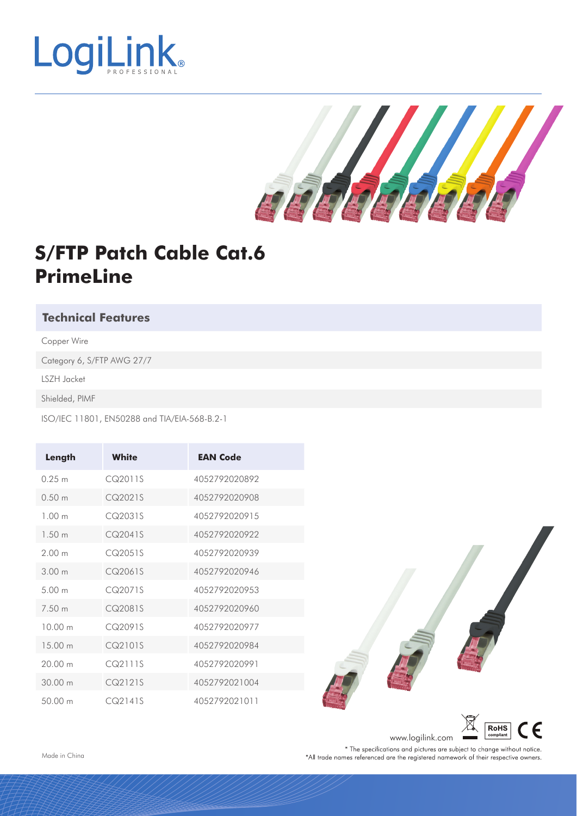



### **S/FTP Patch Cable Cat.6 PrimeLine**

#### **Technical Features**

Copper Wire

Category 6, S/FTP AWG 27/7

LSZH Jacket

Shielded, PIMF

ISO/IEC 11801, EN50288 and TIA/EIA-568-B.2-1

| Length            | <b>White</b> | <b>EAN Code</b> |
|-------------------|--------------|-----------------|
| 0.25 m            | CQ2011S      | 4052792020892   |
| 0.50 m            | CQ2021S      | 4052792020908   |
| 1.00 <sub>m</sub> | CQ2031S      | 4052792020915   |
| 1.50 m            | CQ2041S      | 4052792020922   |
| 200 <sub>m</sub>  | CQ2051S      | 4052792020939   |
| 300 m             | CQ2061S      | 4052792020946   |
| 500 <sub>m</sub>  | CQ2071S      | 4052792020953   |
| 7.50 m            | CQ2081S      | 4052792020960   |
| 10.00 m           | CQ2091S      | 4052792020977   |
| 15 00 m           | CQ2101S      | 4052792020984   |
| 20.00 m           | CQ21115      | 4052792020991   |
| 30.00 m           | CQ2121S      | 4052792021004   |
| 50.00 m           | CQ2141S      | 4052792021011   |



compliant www.logilink.com \* The specifications and pictures are subject to change without notice. \*All trade names referenced are the registered namework of their respective owners.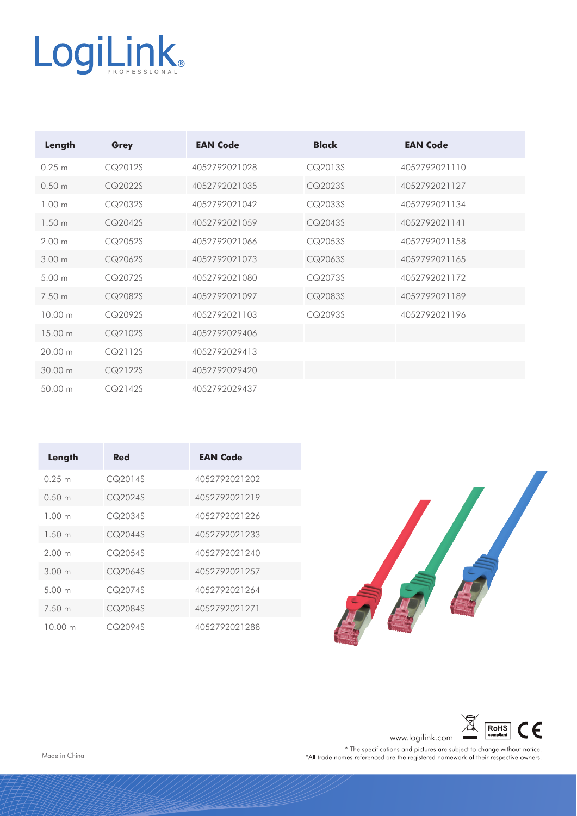# LogiLink

| Length            | Grey    | <b>EAN Code</b> | <b>Black</b> | <b>EAN Code</b> |
|-------------------|---------|-----------------|--------------|-----------------|
| 0.25 m            | CQ2012S | 4052792021028   | CQ2013S      | 4052792021110   |
| 0.50 <sub>m</sub> | CQ2022S | 4052792021035   | CQ2023S      | 4052792021127   |
| 1.00 <sub>m</sub> | CQ2032S | 4052792021042   | CQ2033S      | 4052792021134   |
| 1.50 <sub>m</sub> | CQ2042S | 4052792021059   | CQ2043S      | 4052792021141   |
| 2.00 <sub>m</sub> | CQ2052S | 4052792021066   | CQ2053S      | 4052792021158   |
| 3.00 <sub>m</sub> | CQ2062S | 4052792021073   | CQ2063S      | 4052792021165   |
| 5.00 m            | CQ2072S | 4052792021080   | CQ2073S      | 4052792021172   |
| 750 m             | CQ2082S | 4052792021097   | CQ2083S      | 4052792021189   |
| 10.00 m           | CQ2092S | 4052792021103   | CQ2093S      | 4052792021196   |
| $1500 \text{ m}$  | CQ2102S | 4052792029406   |              |                 |
| 20.00 m           | CQ2112S | 4052792029413   |              |                 |
| 30.00 m           | CQ2122S | 4052792029420   |              |                 |
| 50.00 m           | CQ2142S | 4052792029437   |              |                 |

| Length            | Red     | <b>EAN Code</b> |
|-------------------|---------|-----------------|
| 0.25 m            | CQ2014S | 4052792021202   |
| 0.50 m            | CQ2024S | 4052792021219   |
| 1.00 <sub>m</sub> | CQ2034S | 4052792021226   |
| 1.50 m            | CQ2044S | 4052792021233   |
| 200 <sub>m</sub>  | CQ2054S | 4052792021240   |
| 300 m             | CQ2064S | 4052792021257   |
| 500 <sub>m</sub>  | CQ2074S | 4052792021264   |
| 7.50 m            | CQ2084S | 4052792021271   |
| 10.00 m           | CQ2094S | 4052792021288   |



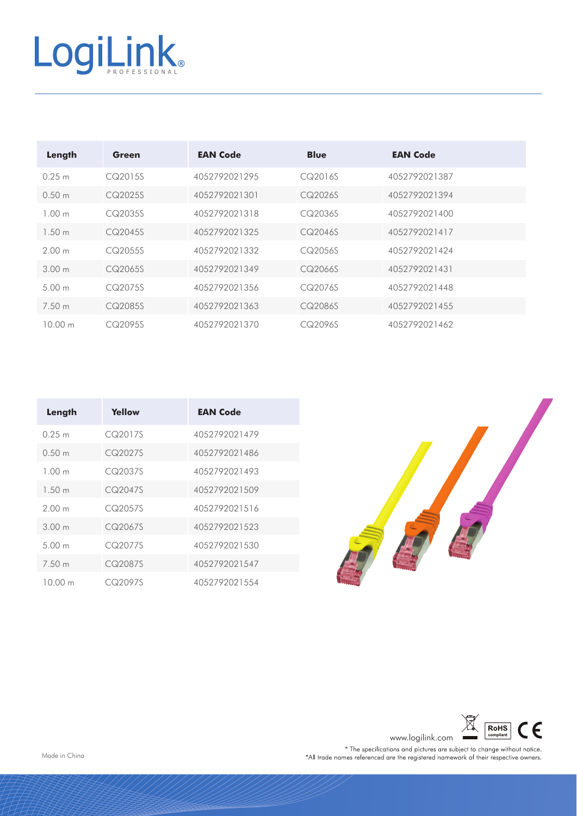## LogiLink®

| Length            | Green   | <b>EAN Code</b> | <b>Blue</b> | <b>EAN Code</b> |
|-------------------|---------|-----------------|-------------|-----------------|
| 0.25 m            | CQ2015S | 4052792021295   | CQ2016S     | 4052792021387   |
| 0.50 m            | CQ2025S | 4052792021301   | CQ2026S     | 4052792021394   |
| 1.00 m            | CQ2035S | 4052792021318   | CQ2036S     | 4052792021400   |
| 1.50 m            | CQ2045S | 4052792021325   | CQ2046S     | 4052792021417   |
| 2.00 m            | CQ2055S | 4052792021332   | CQ2056S     | 4052792021424   |
| 300m              | CQ2065S | 4052792021349   | CQ2066S     | 4052792021431   |
| 5.00 <sub>m</sub> | CQ2075S | 4052792021356   | CQ2076S     | 4052792021448   |
| 7.50 m            | CQ2085S | 4052792021363   | CQ2086S     | 4052792021455   |
| 10.00 m           | CQ2095S | 4052792021370   | CQ2096S     | 4052792021462   |

| Length            | Yellow  | <b>EAN Code</b> |
|-------------------|---------|-----------------|
| 0.25 m            | CQ2017S | 4052792021479   |
| 0.50 m            | CQ2027S | 4052792021486   |
| 1.00 <sub>m</sub> | CQ2037S | 4052792021493   |
| 1.50 m            | CQ2047S | 4052792021509   |
| 200m              | CQ2057S | 4052792021516   |
| 300 m             | CQ2067S | 4052792021523   |
| 500 <sub>m</sub>  | CQ2077S | 4052792021530   |
| 7.50 m            | CQ2087S | 4052792021547   |
| 10 00 m           | CQ2097S | 4052792021554   |





www.logilink.com<br>
\* The specifications and pictures are subject to change without notice.<br>
\*All trade names referenced are the registered namework of their respective owners.